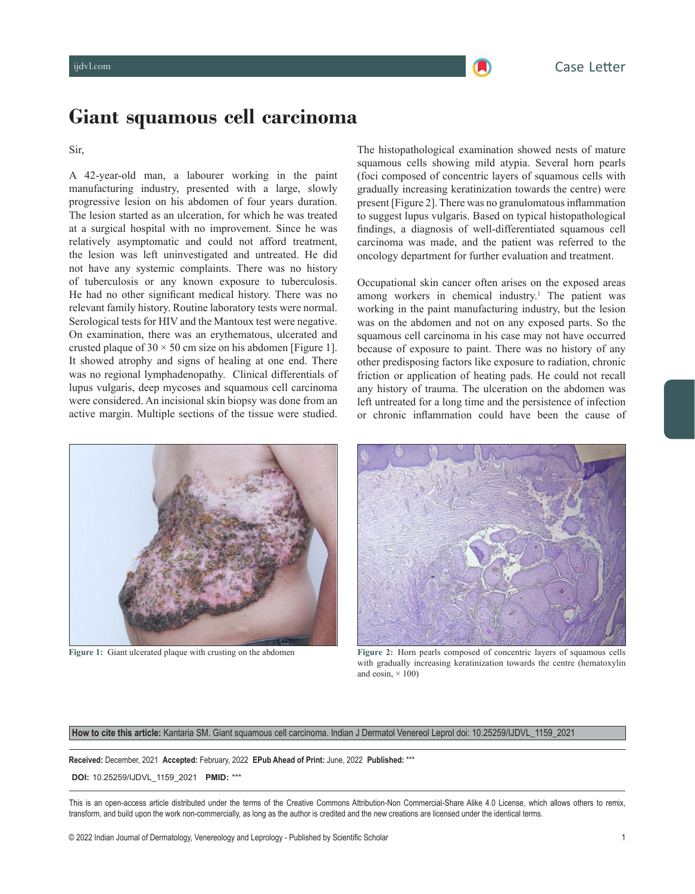# **Giant squamous cell carcinoma**

### Sir,

A 42-year-old man, a labourer working in the paint manufacturing industry, presented with a large, slowly progressive lesion on his abdomen of four years duration. The lesion started as an ulceration, for which he was treated at a surgical hospital with no improvement. Since he was relatively asymptomatic and could not afford treatment, the lesion was left uninvestigated and untreated. He did not have any systemic complaints. There was no history of tuberculosis or any known exposure to tuberculosis. He had no other significant medical history. There was no relevant family history. Routine laboratory tests were normal. Serological tests for HIV and the Mantoux test were negative. On examination, there was an erythematous, ulcerated and crusted plaque of  $30 \times 50$  cm size on his abdomen [\[Figure 1\]](#page-0-0). It showed atrophy and signs of healing at one end. There was no regional lymphadenopathy. Clinical differentials of lupus vulgaris, deep mycoses and squamous cell carcinoma were considered. An incisional skin biopsy was done from an active margin. Multiple sections of the tissue were studied.

<span id="page-0-2"></span>The histopathological examination showed nests of mature squamous cells showing mild atypia. Several horn pearls (foci composed of concentric layers of squamous cells with gradually increasing keratinization towards the centre) were present [[Figure 2](#page-0-1)]. There was no granulomatous inflammation to suggest lupus vulgaris. Based on typical histopathological findings, a diagnosis of well-differentiated squamous cell carcinoma was made, and the patient was referred to the oncology department for further evaluation and treatment.

<span id="page-0-4"></span>Occupational skin cancer often arises on the exposed areas among workers in chemical industry.<sup>[1](#page-1-0)</sup> The patient was working in the paint manufacturing industry, but the lesion was on the abdomen and not on any exposed parts. So the squamous cell carcinoma in his case may not have occurred because of exposure to paint. There was no history of any other predisposing factors like exposure to radiation, chronic friction or application of heating pads. He could not recall any history of trauma. The ulceration on the abdomen was left untreated for a long time and the persistence of infection or chronic inflammation could have been the cause of

<span id="page-0-3"></span>

**[Figure 1:](#page-0-3)** Giant ulcerated plaque with crusting on the abdomen



<span id="page-0-1"></span>**[Figure 2:](#page-0-2)** Horn pearls composed of concentric layers of squamous cells with gradually increasing keratinization towards the centre (hematoxylin and eosin,  $\times$  100)

<span id="page-0-0"></span>**How to cite this article:** Kantaria SM. Giant squamous cell carcinoma. Indian J Dermatol Venereol Leprol doi: 10.25259/IJDVL\_1159\_2021

**Received:** December, 2021 **Accepted:** February, 2022 **EPub Ahead of Print:** June, 2022 **Published:** \*\*\*

 **DOI:** 10.25259/IJDVL\_1159\_2021 **PMID:** \*\*\*

This is an open-access article distributed under the terms of the Creative Commons Attribution-Non Commercial-Share Alike 4.0 License, which allows others to remix, transform, and build upon the work non-commercially, as long as the author is credited and the new creations are licensed under the identical terms.